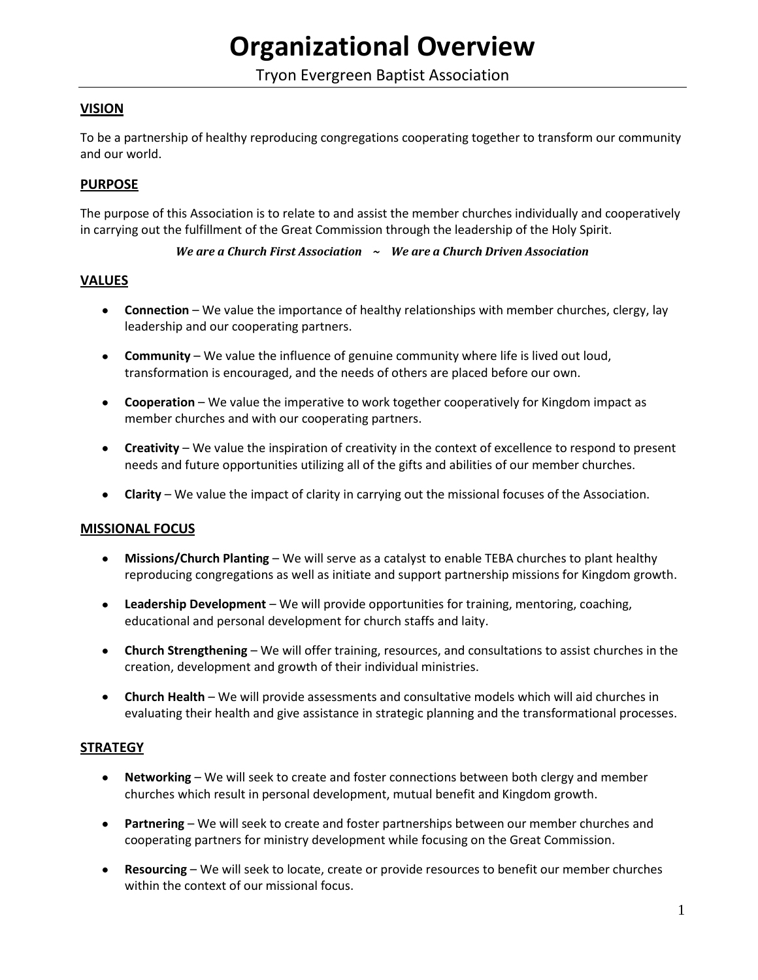# **Organizational Overview**

Tryon Evergreen Baptist Association

# **VISION**

To be a partnership of healthy reproducing congregations cooperating together to transform our community and our world.

## **PURPOSE**

The purpose of this Association is to relate to and assist the member churches individually and cooperatively in carrying out the fulfillment of the Great Commission through the leadership of the Holy Spirit.

#### *We are a Church First Association ~ We are a Church Driven Association*

#### **VALUES**

- **Connection** We value the importance of healthy relationships with member churches, clergy, lay leadership and our cooperating partners.
- **Community** We value the influence of genuine community where life is lived out loud, transformation is encouraged, and the needs of others are placed before our own.
- **Cooperation** We value the imperative to work together cooperatively for Kingdom impact as member churches and with our cooperating partners.
- **Creativity** We value the inspiration of creativity in the context of excellence to respond to present needs and future opportunities utilizing all of the gifts and abilities of our member churches.
- **Clarity** We value the impact of clarity in carrying out the missional focuses of the Association.

#### **MISSIONAL FOCUS**

- **Missions/Church Planting** We will serve as a catalyst to enable TEBA churches to plant healthy  $\bullet$  . reproducing congregations as well as initiate and support partnership missions for Kingdom growth.
- **Leadership Development** We will provide opportunities for training, mentoring, coaching, educational and personal development for church staffs and laity.
- $\bullet$ **Church Strengthening** – We will offer training, resources, and consultations to assist churches in the creation, development and growth of their individual ministries.
- **Church Health** We will provide assessments and consultative models which will aid churches in evaluating their health and give assistance in strategic planning and the transformational processes.

#### **STRATEGY**

- $\bullet$  . **Networking** – We will seek to create and foster connections between both clergy and member churches which result in personal development, mutual benefit and Kingdom growth.
- **Partnering** We will seek to create and foster partnerships between our member churches and cooperating partners for ministry development while focusing on the Great Commission.
- **Resourcing** We will seek to locate, create or provide resources to benefit our member churches within the context of our missional focus.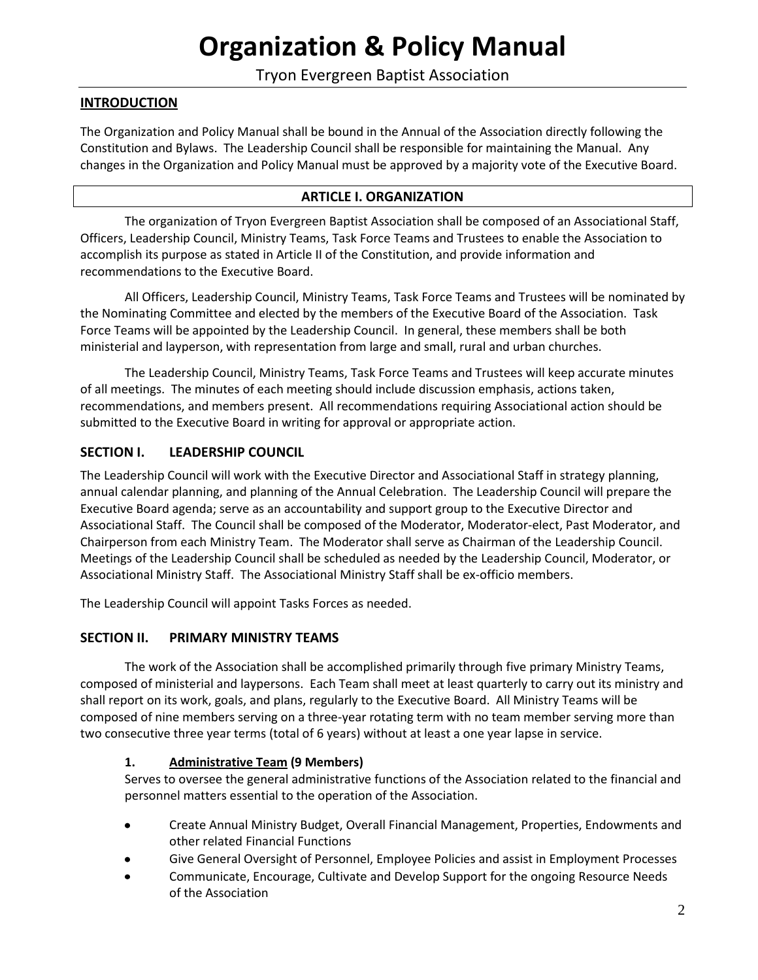# **Organization & Policy Manual**

# Tryon Evergreen Baptist Association

## **INTRODUCTION**

The Organization and Policy Manual shall be bound in the Annual of the Association directly following the Constitution and Bylaws. The Leadership Council shall be responsible for maintaining the Manual. Any changes in the Organization and Policy Manual must be approved by a majority vote of the Executive Board.

#### **ARTICLE I. ORGANIZATION**

The organization of Tryon Evergreen Baptist Association shall be composed of an Associational Staff, Officers, Leadership Council, Ministry Teams, Task Force Teams and Trustees to enable the Association to accomplish its purpose as stated in Article II of the Constitution, and provide information and recommendations to the Executive Board.

All Officers, Leadership Council, Ministry Teams, Task Force Teams and Trustees will be nominated by the Nominating Committee and elected by the members of the Executive Board of the Association. Task Force Teams will be appointed by the Leadership Council. In general, these members shall be both ministerial and layperson, with representation from large and small, rural and urban churches.

The Leadership Council, Ministry Teams, Task Force Teams and Trustees will keep accurate minutes of all meetings. The minutes of each meeting should include discussion emphasis, actions taken, recommendations, and members present. All recommendations requiring Associational action should be submitted to the Executive Board in writing for approval or appropriate action.

## **SECTION I. LEADERSHIP COUNCIL**

The Leadership Council will work with the Executive Director and Associational Staff in strategy planning, annual calendar planning, and planning of the Annual Celebration. The Leadership Council will prepare the Executive Board agenda; serve as an accountability and support group to the Executive Director and Associational Staff. The Council shall be composed of the Moderator, Moderator-elect, Past Moderator, and Chairperson from each Ministry Team. The Moderator shall serve as Chairman of the Leadership Council. Meetings of the Leadership Council shall be scheduled as needed by the Leadership Council, Moderator, or Associational Ministry Staff. The Associational Ministry Staff shall be ex-officio members.

The Leadership Council will appoint Tasks Forces as needed.

#### **SECTION II. PRIMARY MINISTRY TEAMS**

The work of the Association shall be accomplished primarily through five primary Ministry Teams, composed of ministerial and laypersons. Each Team shall meet at least quarterly to carry out its ministry and shall report on its work, goals, and plans, regularly to the Executive Board. All Ministry Teams will be composed of nine members serving on a three-year rotating term with no team member serving more than two consecutive three year terms (total of 6 years) without at least a one year lapse in service.

#### **1. Administrative Team (9 Members)**

Serves to oversee the general administrative functions of the Association related to the financial and personnel matters essential to the operation of the Association.

- Create Annual Ministry Budget, Overall Financial Management, Properties, Endowments and  $\bullet$ other related Financial Functions
- Give General Oversight of Personnel, Employee Policies and assist in Employment Processes
- Communicate, Encourage, Cultivate and Develop Support for the ongoing Resource Needs of the Association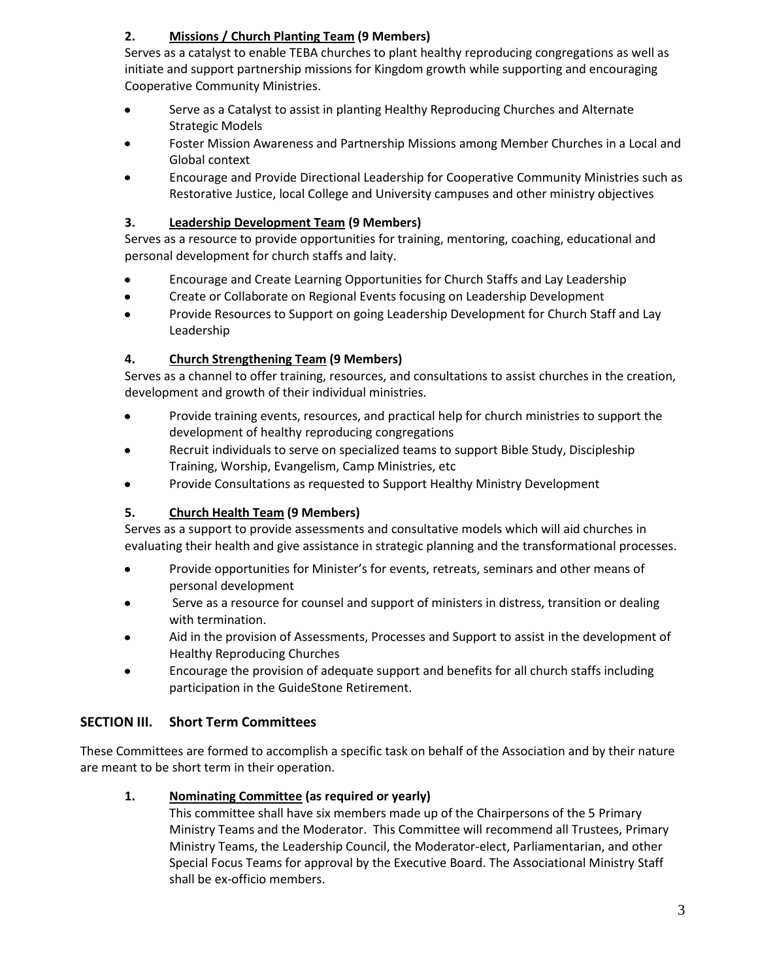# **2. Missions / Church Planting Team (9 Members)**

Serves as a catalyst to enable TEBA churches to plant healthy reproducing congregations as well as initiate and support partnership missions for Kingdom growth while supporting and encouraging Cooperative Community Ministries.

- Serve as a Catalyst to assist in planting Healthy Reproducing Churches and Alternate  $\bullet$ Strategic Models
- Foster Mission Awareness and Partnership Missions among Member Churches in a Local and Global context
- Encourage and Provide Directional Leadership for Cooperative Community Ministries such as Restorative Justice, local College and University campuses and other ministry objectives

# **3. Leadership Development Team (9 Members)**

Serves as a resource to provide opportunities for training, mentoring, coaching, educational and personal development for church staffs and laity.

- Encourage and Create Learning Opportunities for Church Staffs and Lay Leadership
- $\bullet$ Create or Collaborate on Regional Events focusing on Leadership Development
- $\bullet$ Provide Resources to Support on going Leadership Development for Church Staff and Lay Leadership

# **4. Church Strengthening Team (9 Members)**

Serves as a channel to offer training, resources, and consultations to assist churches in the creation, development and growth of their individual ministries.

- $\bullet$ Provide training events, resources, and practical help for church ministries to support the development of healthy reproducing congregations
- Recruit individuals to serve on specialized teams to support Bible Study, Discipleship  $\bullet$ Training, Worship, Evangelism, Camp Ministries, etc
- Provide Consultations as requested to Support Healthy Ministry Development  $\bullet$

# **5. Church Health Team (9 Members)**

Serves as a support to provide assessments and consultative models which will aid churches in evaluating their health and give assistance in strategic planning and the transformational processes.

- $\bullet$ Provide opportunities for Minister's for events, retreats, seminars and other means of personal development
- $\bullet$ Serve as a resource for counsel and support of ministers in distress, transition or dealing with termination.
- Aid in the provision of Assessments, Processes and Support to assist in the development of Healthy Reproducing Churches
- Encourage the provision of adequate support and benefits for all church staffs including participation in the GuideStone Retirement.

# **SECTION III. Short Term Committees**

These Committees are formed to accomplish a specific task on behalf of the Association and by their nature are meant to be short term in their operation.

# **1. Nominating Committee (as required or yearly)**

This committee shall have six members made up of the Chairpersons of the 5 Primary Ministry Teams and the Moderator. This Committee will recommend all Trustees, Primary Ministry Teams, the Leadership Council, the Moderator-elect, Parliamentarian, and other Special Focus Teams for approval by the Executive Board. The Associational Ministry Staff shall be ex-officio members.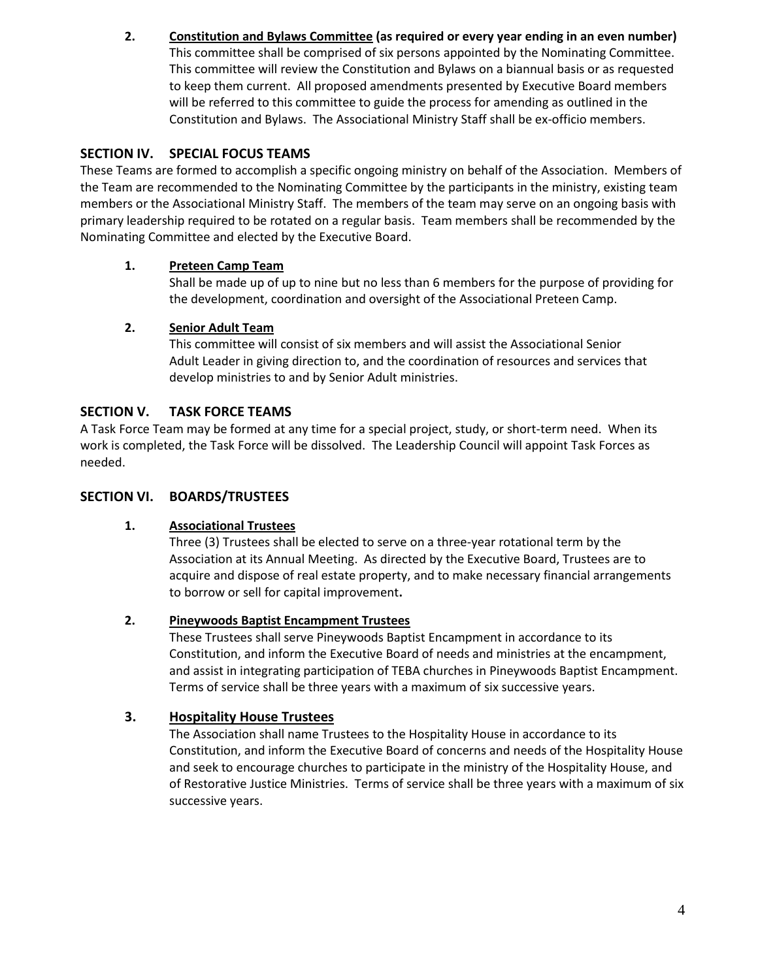**2. Constitution and Bylaws Committee (as required or every year ending in an even number)** This committee shall be comprised of six persons appointed by the Nominating Committee. This committee will review the Constitution and Bylaws on a biannual basis or as requested to keep them current. All proposed amendments presented by Executive Board members will be referred to this committee to guide the process for amending as outlined in the Constitution and Bylaws. The Associational Ministry Staff shall be ex-officio members.

# **SECTION IV. SPECIAL FOCUS TEAMS**

These Teams are formed to accomplish a specific ongoing ministry on behalf of the Association. Members of the Team are recommended to the Nominating Committee by the participants in the ministry, existing team members or the Associational Ministry Staff. The members of the team may serve on an ongoing basis with primary leadership required to be rotated on a regular basis. Team members shall be recommended by the Nominating Committee and elected by the Executive Board.

## **1. Preteen Camp Team**

Shall be made up of up to nine but no less than 6 members for the purpose of providing for the development, coordination and oversight of the Associational Preteen Camp.

#### **2. Senior Adult Team**

This committee will consist of six members and will assist the Associational Senior Adult Leader in giving direction to, and the coordination of resources and services that develop ministries to and by Senior Adult ministries.

## **SECTION V. TASK FORCE TEAMS**

A Task Force Team may be formed at any time for a special project, study, or short-term need. When its work is completed, the Task Force will be dissolved. The Leadership Council will appoint Task Forces as needed.

#### **SECTION VI. BOARDS/TRUSTEES**

#### **1. Associational Trustees**

Three (3) Trustees shall be elected to serve on a three-year rotational term by the Association at its Annual Meeting. As directed by the Executive Board, Trustees are to acquire and dispose of real estate property, and to make necessary financial arrangements to borrow or sell for capital improvement**.** 

#### **2. Pineywoods Baptist Encampment Trustees**

These Trustees shall serve Pineywoods Baptist Encampment in accordance to its Constitution, and inform the Executive Board of needs and ministries at the encampment, and assist in integrating participation of TEBA churches in Pineywoods Baptist Encampment. Terms of service shall be three years with a maximum of six successive years.

## **3. Hospitality House Trustees**

The Association shall name Trustees to the Hospitality House in accordance to its Constitution, and inform the Executive Board of concerns and needs of the Hospitality House and seek to encourage churches to participate in the ministry of the Hospitality House, and of Restorative Justice Ministries. Terms of service shall be three years with a maximum of six successive years.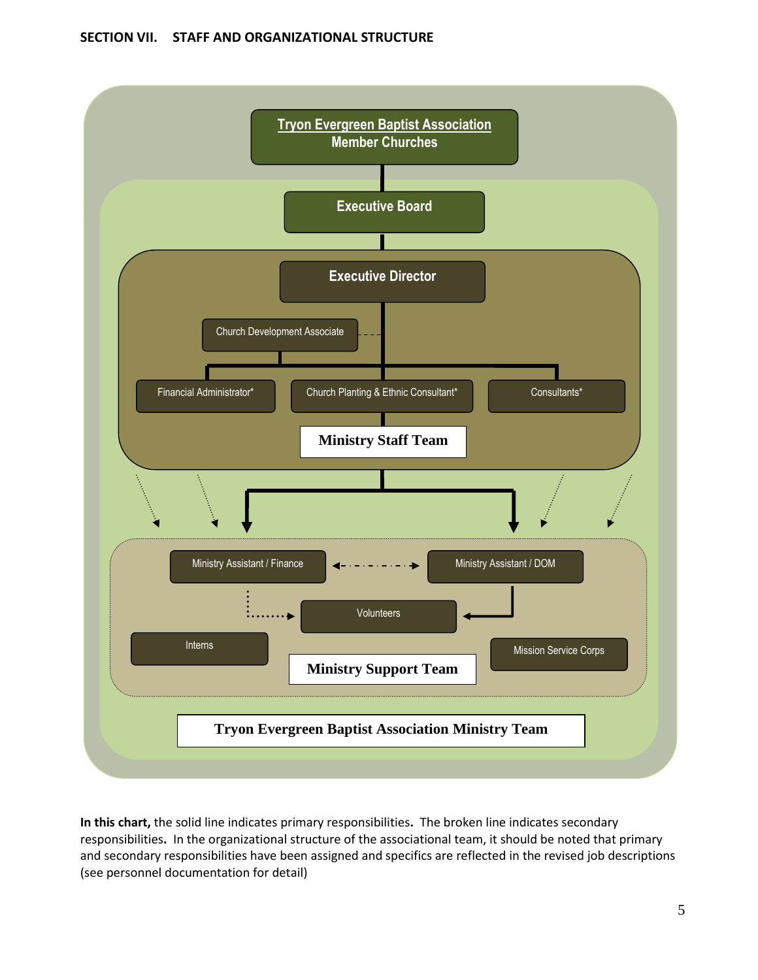#### **SECTION VII. STAFF AND ORGANIZATIONAL STRUCTURE**



**In this chart,** the solid line indicates primary responsibilities**.** The broken line indicates secondary responsibilities**.** In the organizational structure of the associational team, it should be noted that primary and secondary responsibilities have been assigned and specifics are reflected in the revised job descriptions (see personnel documentation for detail)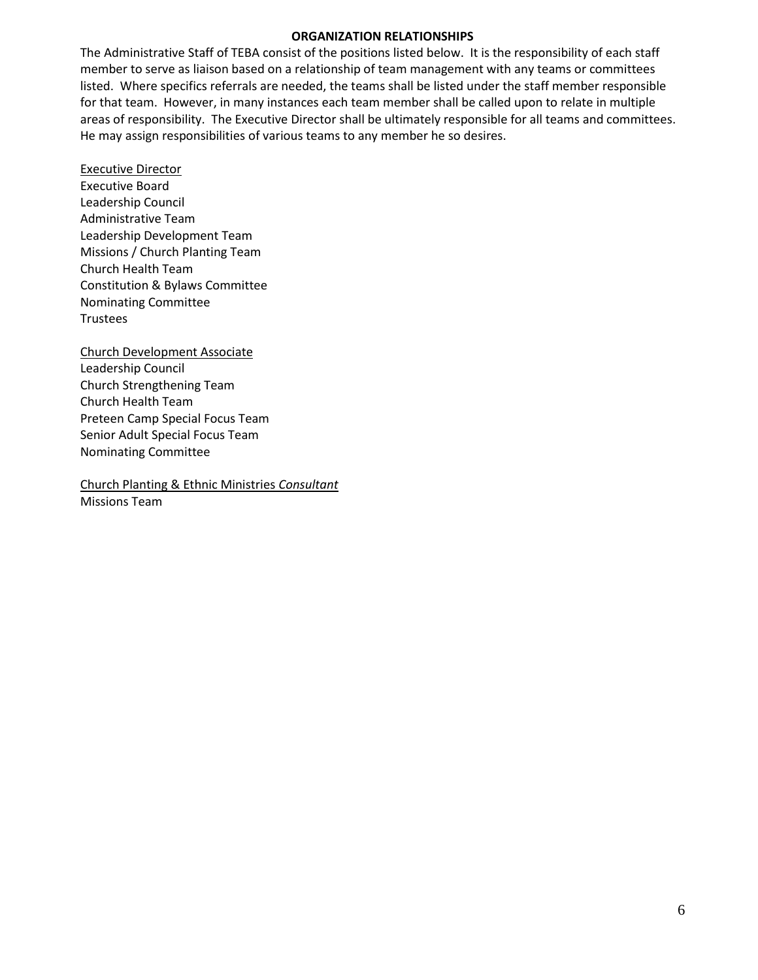#### **ORGANIZATION RELATIONSHIPS**

The Administrative Staff of TEBA consist of the positions listed below. It is the responsibility of each staff member to serve as liaison based on a relationship of team management with any teams or committees listed. Where specifics referrals are needed, the teams shall be listed under the staff member responsible for that team. However, in many instances each team member shall be called upon to relate in multiple areas of responsibility. The Executive Director shall be ultimately responsible for all teams and committees. He may assign responsibilities of various teams to any member he so desires.

Executive Director Executive Board Leadership Council Administrative Team Leadership Development Team Missions / Church Planting Team Church Health Team Constitution & Bylaws Committee Nominating Committee **Trustees** 

Church Development Associate Leadership Council Church Strengthening Team Church Health Team Preteen Camp Special Focus Team Senior Adult Special Focus Team Nominating Committee

Church Planting & Ethnic Ministries *Consultant* Missions Team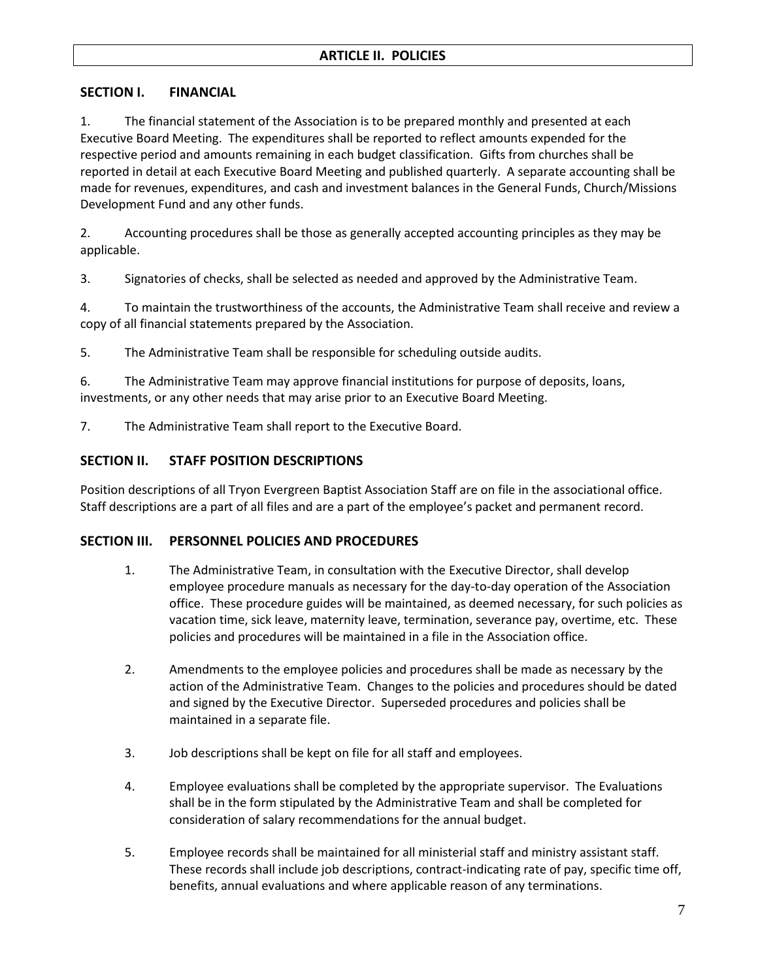## **SECTION I. FINANCIAL**

1. The financial statement of the Association is to be prepared monthly and presented at each Executive Board Meeting. The expenditures shall be reported to reflect amounts expended for the respective period and amounts remaining in each budget classification. Gifts from churches shall be reported in detail at each Executive Board Meeting and published quarterly. A separate accounting shall be made for revenues, expenditures, and cash and investment balances in the General Funds, Church/Missions Development Fund and any other funds.

2. Accounting procedures shall be those as generally accepted accounting principles as they may be applicable.

3. Signatories of checks, shall be selected as needed and approved by the Administrative Team.

4. To maintain the trustworthiness of the accounts, the Administrative Team shall receive and review a copy of all financial statements prepared by the Association.

5. The Administrative Team shall be responsible for scheduling outside audits.

6. The Administrative Team may approve financial institutions for purpose of deposits, loans, investments, or any other needs that may arise prior to an Executive Board Meeting.

7. The Administrative Team shall report to the Executive Board.

#### **SECTION II. STAFF POSITION DESCRIPTIONS**

Position descriptions of all Tryon Evergreen Baptist Association Staff are on file in the associational office. Staff descriptions are a part of all files and are a part of the employee's packet and permanent record.

#### **SECTION III. PERSONNEL POLICIES AND PROCEDURES**

- 1. The Administrative Team, in consultation with the Executive Director, shall develop employee procedure manuals as necessary for the day-to-day operation of the Association office. These procedure guides will be maintained, as deemed necessary, for such policies as vacation time, sick leave, maternity leave, termination, severance pay, overtime, etc. These policies and procedures will be maintained in a file in the Association office.
- 2. Amendments to the employee policies and procedures shall be made as necessary by the action of the Administrative Team. Changes to the policies and procedures should be dated and signed by the Executive Director. Superseded procedures and policies shall be maintained in a separate file.
- 3. Job descriptions shall be kept on file for all staff and employees.
- 4. Employee evaluations shall be completed by the appropriate supervisor. The Evaluations shall be in the form stipulated by the Administrative Team and shall be completed for consideration of salary recommendations for the annual budget.
- 5. Employee records shall be maintained for all ministerial staff and ministry assistant staff. These records shall include job descriptions, contract-indicating rate of pay, specific time off, benefits, annual evaluations and where applicable reason of any terminations.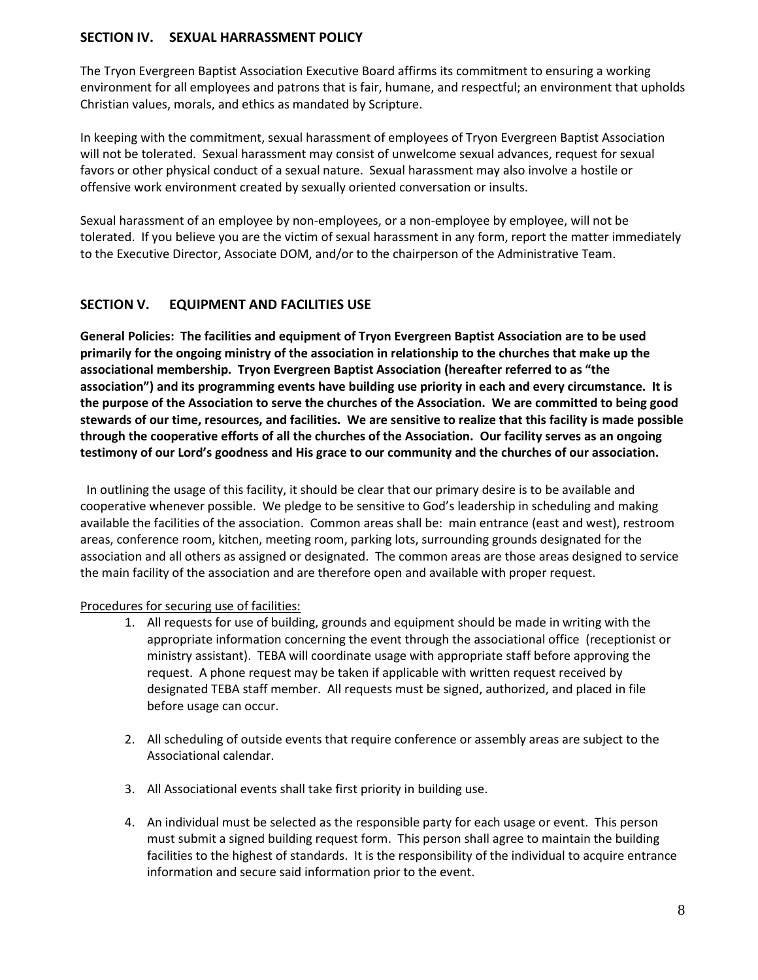## **SECTION IV. SEXUAL HARRASSMENT POLICY**

The Tryon Evergreen Baptist Association Executive Board affirms its commitment to ensuring a working environment for all employees and patrons that is fair, humane, and respectful; an environment that upholds Christian values, morals, and ethics as mandated by Scripture.

In keeping with the commitment, sexual harassment of employees of Tryon Evergreen Baptist Association will not be tolerated. Sexual harassment may consist of unwelcome sexual advances, request for sexual favors or other physical conduct of a sexual nature. Sexual harassment may also involve a hostile or offensive work environment created by sexually oriented conversation or insults.

Sexual harassment of an employee by non-employees, or a non-employee by employee, will not be tolerated. If you believe you are the victim of sexual harassment in any form, report the matter immediately to the Executive Director, Associate DOM, and/or to the chairperson of the Administrative Team.

# **SECTION V. EQUIPMENT AND FACILITIES USE**

**General Policies: The facilities and equipment of Tryon Evergreen Baptist Association are to be used primarily for the ongoing ministry of the association in relationship to the churches that make up the associational membership. Tryon Evergreen Baptist Association (hereafter referred to as "the association") and its programming events have building use priority in each and every circumstance. It is the purpose of the Association to serve the churches of the Association. We are committed to being good stewards of our time, resources, and facilities. We are sensitive to realize that this facility is made possible through the cooperative efforts of all the churches of the Association. Our facility serves as an ongoing testimony of our Lord's goodness and His grace to our community and the churches of our association.** 

 In outlining the usage of this facility, it should be clear that our primary desire is to be available and cooperative whenever possible. We pledge to be sensitive to God's leadership in scheduling and making available the facilities of the association. Common areas shall be: main entrance (east and west), restroom areas, conference room, kitchen, meeting room, parking lots, surrounding grounds designated for the association and all others as assigned or designated. The common areas are those areas designed to service the main facility of the association and are therefore open and available with proper request.

## Procedures for securing use of facilities:

- 1. All requests for use of building, grounds and equipment should be made in writing with the appropriate information concerning the event through the associational office (receptionist or ministry assistant). TEBA will coordinate usage with appropriate staff before approving the request. A phone request may be taken if applicable with written request received by designated TEBA staff member. All requests must be signed, authorized, and placed in file before usage can occur.
- 2. All scheduling of outside events that require conference or assembly areas are subject to the Associational calendar.
- 3. All Associational events shall take first priority in building use.
- 4. An individual must be selected as the responsible party for each usage or event. This person must submit a signed building request form. This person shall agree to maintain the building facilities to the highest of standards. It is the responsibility of the individual to acquire entrance information and secure said information prior to the event.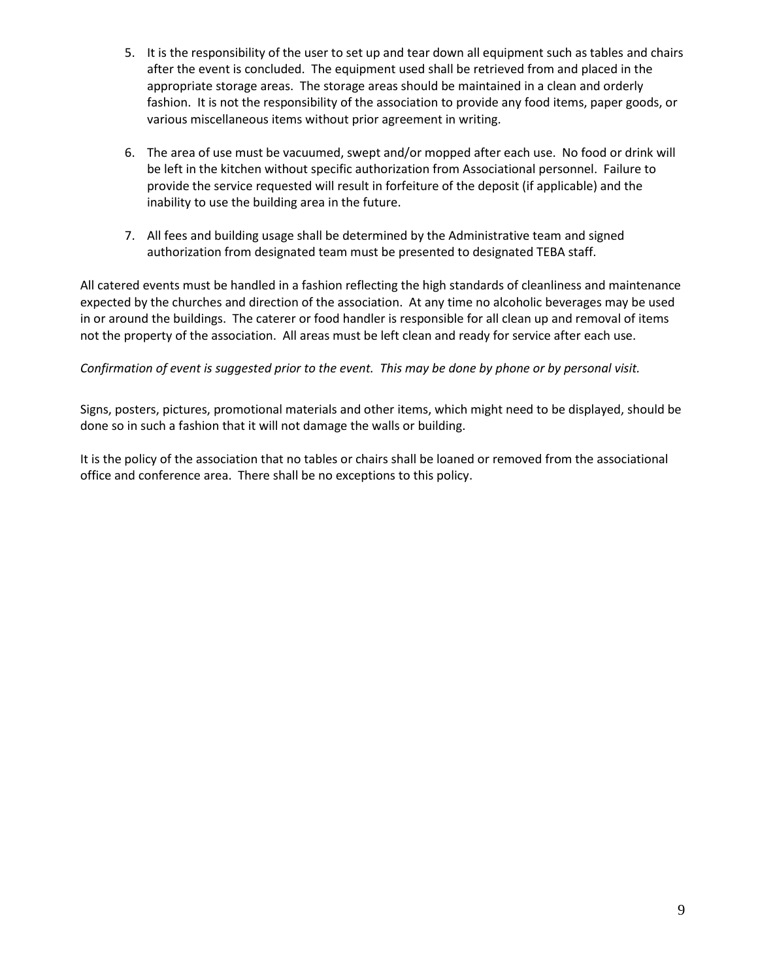- 5. It is the responsibility of the user to set up and tear down all equipment such as tables and chairs after the event is concluded. The equipment used shall be retrieved from and placed in the appropriate storage areas. The storage areas should be maintained in a clean and orderly fashion. It is not the responsibility of the association to provide any food items, paper goods, or various miscellaneous items without prior agreement in writing.
- 6. The area of use must be vacuumed, swept and/or mopped after each use. No food or drink will be left in the kitchen without specific authorization from Associational personnel. Failure to provide the service requested will result in forfeiture of the deposit (if applicable) and the inability to use the building area in the future.
- 7. All fees and building usage shall be determined by the Administrative team and signed authorization from designated team must be presented to designated TEBA staff.

All catered events must be handled in a fashion reflecting the high standards of cleanliness and maintenance expected by the churches and direction of the association. At any time no alcoholic beverages may be used in or around the buildings. The caterer or food handler is responsible for all clean up and removal of items not the property of the association. All areas must be left clean and ready for service after each use.

## *Confirmation of event is suggested prior to the event. This may be done by phone or by personal visit.*

Signs, posters, pictures, promotional materials and other items, which might need to be displayed, should be done so in such a fashion that it will not damage the walls or building.

It is the policy of the association that no tables or chairs shall be loaned or removed from the associational office and conference area. There shall be no exceptions to this policy.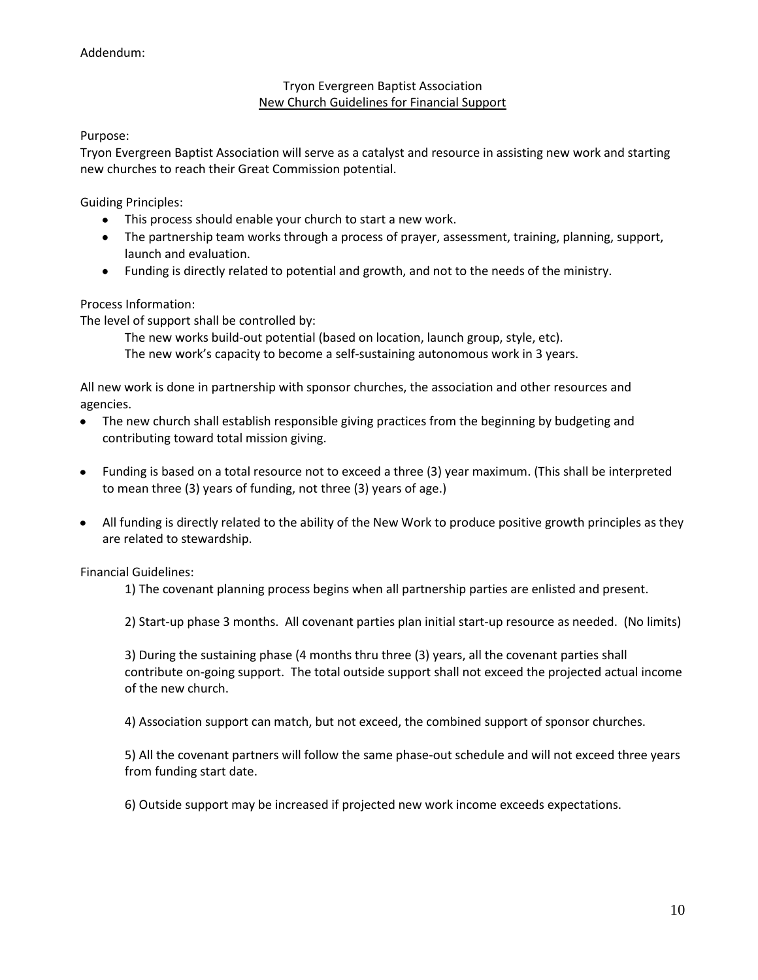#### Tryon Evergreen Baptist Association New Church Guidelines for Financial Support

Purpose:

Tryon Evergreen Baptist Association will serve as a catalyst and resource in assisting new work and starting new churches to reach their Great Commission potential.

Guiding Principles:

- This process should enable your church to start a new work.
- The partnership team works through a process of prayer, assessment, training, planning, support, launch and evaluation.
- Funding is directly related to potential and growth, and not to the needs of the ministry.

#### Process Information:

The level of support shall be controlled by:

The new works build-out potential (based on location, launch group, style, etc). The new work's capacity to become a self-sustaining autonomous work in 3 years.

All new work is done in partnership with sponsor churches, the association and other resources and agencies.

- The new church shall establish responsible giving practices from the beginning by budgeting and contributing toward total mission giving.
- Funding is based on a total resource not to exceed a three (3) year maximum. (This shall be interpreted to mean three (3) years of funding, not three (3) years of age.)
- All funding is directly related to the ability of the New Work to produce positive growth principles as they are related to stewardship.

Financial Guidelines:

1) The covenant planning process begins when all partnership parties are enlisted and present.

2) Start-up phase 3 months. All covenant parties plan initial start-up resource as needed. (No limits)

3) During the sustaining phase (4 months thru three (3) years, all the covenant parties shall contribute on-going support. The total outside support shall not exceed the projected actual income of the new church.

4) Association support can match, but not exceed, the combined support of sponsor churches.

5) All the covenant partners will follow the same phase-out schedule and will not exceed three years from funding start date.

6) Outside support may be increased if projected new work income exceeds expectations.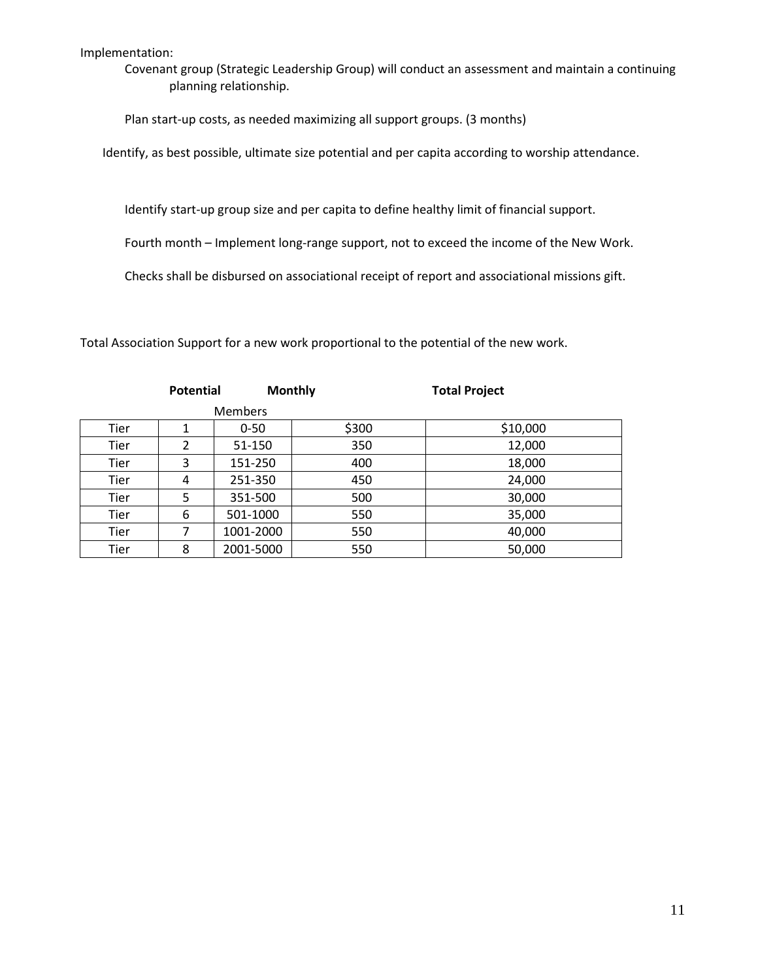Implementation:

Covenant group (Strategic Leadership Group) will conduct an assessment and maintain a continuing planning relationship.

Plan start-up costs, as needed maximizing all support groups. (3 months)

Identify, as best possible, ultimate size potential and per capita according to worship attendance.

Identify start-up group size and per capita to define healthy limit of financial support.

Fourth month – Implement long-range support, not to exceed the income of the New Work.

Checks shall be disbursed on associational receipt of report and associational missions gift.

Total Association Support for a new work proportional to the potential of the new work.

|                | <b>Potential</b> |           | <b>Monthly</b> | <b>Total Project</b> |
|----------------|------------------|-----------|----------------|----------------------|
| <b>Members</b> |                  |           |                |                      |
| Tier           | 1                | $0 - 50$  | \$300          | \$10,000             |
| Tier           | $\overline{2}$   | 51-150    | 350            | 12,000               |
| Tier           | 3                | 151-250   | 400            | 18,000               |
| <b>Tier</b>    | 4                | 251-350   | 450            | 24,000               |
| Tier           | 5                | 351-500   | 500            | 30,000               |
| Tier           | 6                | 501-1000  | 550            | 35,000               |
| <b>Tier</b>    | 7                | 1001-2000 | 550            | 40,000               |
| <b>Tier</b>    | 8                | 2001-5000 | 550            | 50,000               |